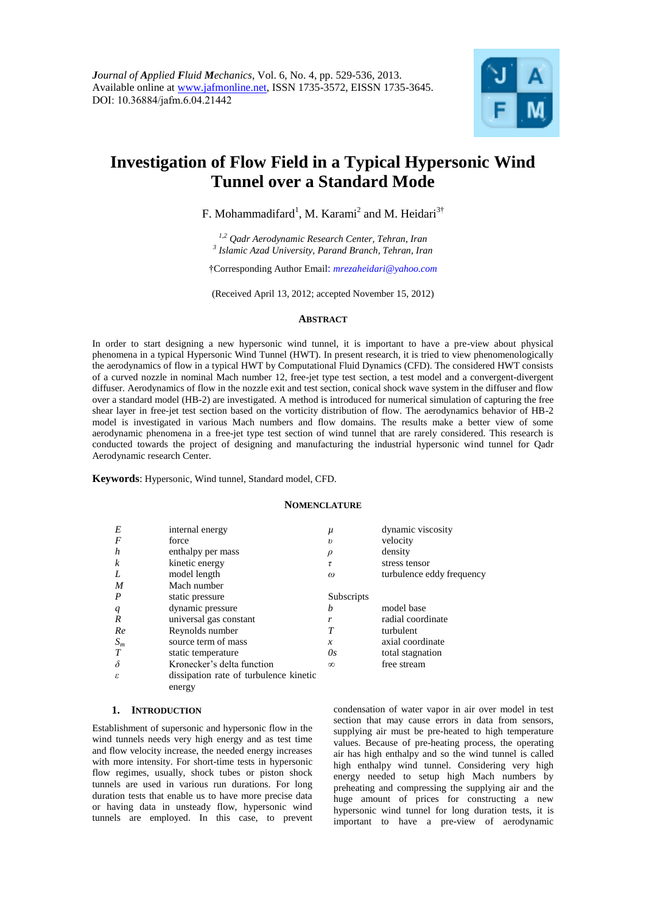

# **Investigation of Flow Field in a Typical Hypersonic Wind Tunnel over a Standard Mode**

F. Mohammadifard<sup>1</sup>, M. Karami<sup>2</sup> and M. Heidari<sup>3†</sup>

*1,2 Qadr Aerodynamic Research Center, Tehran, Iran 3 Islamic Azad University, Parand Branch, Tehran, Iran*

†Corresponding Author Email: *mrezaheidari@yahoo.com* 

(Received April 13, 2012; accepted November 15, 2012)

#### **ABSTRACT**

In order to start designing a new hypersonic wind tunnel, it is important to have a pre-view about physical phenomena in a typical Hypersonic Wind Tunnel (HWT). In present research, it is tried to view phenomenologically the aerodynamics of flow in a typical HWT by Computational Fluid Dynamics (CFD). The considered HWT consists of a curved nozzle in nominal Mach number 12, free-jet type test section, a test model and a convergent-divergent diffuser. Aerodynamics of flow in the nozzle exit and test section, conical shock wave system in the diffuser and flow over a standard model (HB-2) are investigated. A method is introduced for numerical simulation of capturing the free shear layer in free-jet test section based on the vorticity distribution of flow. The aerodynamics behavior of HB-2 model is investigated in various Mach numbers and flow domains. The results make a better view of some aerodynamic phenomena in a free-jet type test section of wind tunnel that are rarely considered. This research is conducted towards the project of designing and manufacturing the industrial hypersonic wind tunnel for Qadr Aerodynamic research Center.

**Keywords**: Hypersonic, Wind tunnel, Standard model, CFD.

# **NOMENCLATURE**

| E                | internal energy                        | $\mu$               | dynamic viscosity         |
|------------------|----------------------------------------|---------------------|---------------------------|
| F                | force                                  | $\boldsymbol{\eta}$ | velocity                  |
| h                | enthalpy per mass                      |                     | density                   |
| k                | kinetic energy                         | τ                   | stress tensor             |
| L                | model length                           | $\omega$            | turbulence eddy frequency |
| M                | Mach number                            |                     |                           |
| $\boldsymbol{P}$ | static pressure                        | Subscripts          |                           |
| q                | dynamic pressure                       | b                   | model base                |
| R                | universal gas constant                 |                     | radial coordinate         |
| Re               | Reynolds number                        | T                   | turbulent                 |
| $S_m$            | source term of mass                    | $\boldsymbol{x}$    | axial coordinate          |
|                  | static temperature                     | Os.                 | total stagnation          |
| $\delta$         | Kronecker's delta function             | $\infty$            | free stream               |
| ε                | dissipation rate of turbulence kinetic |                     |                           |
|                  | energy                                 |                     |                           |

# **1. INTRODUCTION**

Establishment of supersonic and hypersonic flow in the wind tunnels needs very high energy and as test time and flow velocity increase, the needed energy increases with more intensity. For short-time tests in hypersonic flow regimes, usually, shock tubes or piston shock tunnels are used in various run durations. For long duration tests that enable us to have more precise data or having data in unsteady flow, hypersonic wind tunnels are employed. In this case, to prevent

condensation of water vapor in air over model in test section that may cause errors in data from sensors, supplying air must be pre-heated to high temperature values. Because of pre-heating process, the operating air has high enthalpy and so the wind tunnel is called high enthalpy wind tunnel. Considering very high energy needed to setup high Mach numbers by preheating and compressing the supplying air and the huge amount of prices for constructing a new hypersonic wind tunnel for long duration tests, it is important to have a pre-view of aerodynamic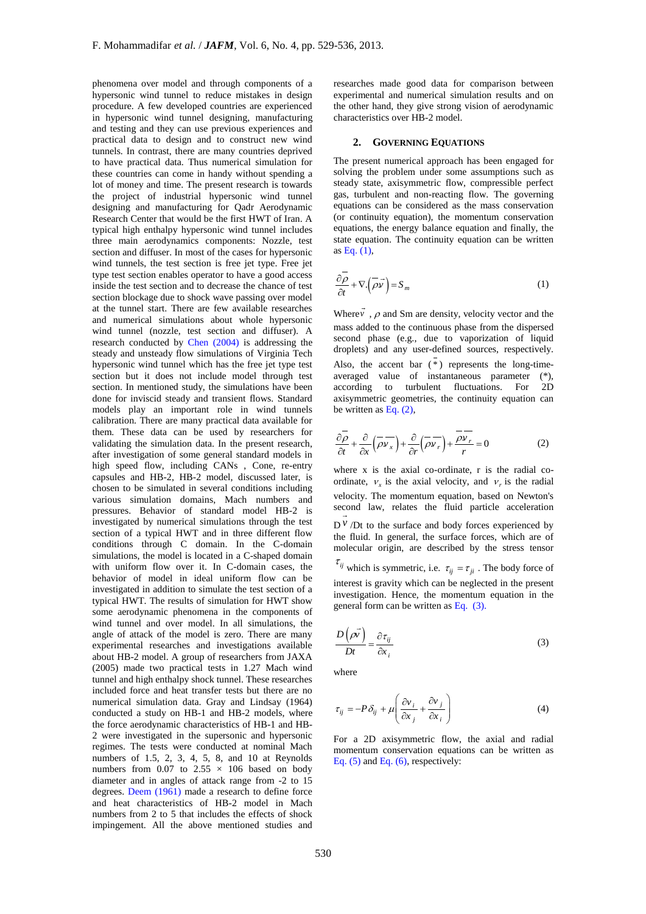phenomena over model and through components of a hypersonic wind tunnel to reduce mistakes in design procedure. A few developed countries are experienced in hypersonic wind tunnel designing, manufacturing and testing and they can use previous experiences and practical data to design and to construct new wind tunnels. In contrast, there are many countries deprived to have practical data. Thus numerical simulation for these countries can come in handy without spending a lot of money and time. The present research is towards the project of industrial hypersonic wind tunnel designing and manufacturing for Qadr Aerodynamic Research Center that would be the first HWT of Iran. A typical high enthalpy hypersonic wind tunnel includes three main aerodynamics components: Nozzle, test section and diffuser. In most of the cases for hypersonic wind tunnels, the test section is free jet type. Free jet type test section enables operator to have a good access inside the test section and to decrease the chance of test section blockage due to shock wave passing over model at the tunnel start. There are few available researches and numerical simulations about whole hypersonic wind tunnel (nozzle, test section and diffuser). A research conducted by Chen (2004) is addressing the steady and unsteady flow simulations of Virginia Tech hypersonic wind tunnel which has the free jet type test section but it does not include model through test section. In mentioned study, the simulations have been done for inviscid steady and transient flows. Standard models play an important role in wind tunnels calibration. There are many practical data available for them. These data can be used by researchers for validating the simulation data. In the present research, after investigation of some general standard models in high speed flow, including CANs , Cone, re-entry capsules and HB-2, HB-2 model, discussed later, is chosen to be simulated in several conditions including various simulation domains, Mach numbers and pressures. Behavior of standard model HB-2 is investigated by numerical simulations through the test section of a typical HWT and in three different flow conditions through C domain. In the C-domain simulations, the model is located in a C-shaped domain with uniform flow over it. In C-domain cases, the behavior of model in ideal uniform flow can be investigated in addition to simulate the test section of a typical HWT. The results of simulation for HWT show some aerodynamic phenomena in the components of wind tunnel and over model. In all simulations, the angle of attack of the model is zero. There are many experimental researches and investigations available about HB-2 model. A group of researchers from JAXA (2005) made two practical tests in 1.27 Mach wind tunnel and high enthalpy shock tunnel. These researches included force and heat transfer tests but there are no numerical simulation data. Gray and Lindsay (1964) conducted a study on HB-1 and HB-2 models, where the force aerodynamic characteristics of HB-1 and HB-2 were investigated in the supersonic and hypersonic regimes. The tests were conducted at nominal Mach numbers of 1.5, 2, 3, 4, 5, 8, and 10 at Reynolds numbers from 0.07 to  $2.55 \times 106$  based on body diameter and in angles of attack range from -2 to 15 degrees. Deem (1961) made a research to define force and heat characteristics of HB-2 model in Mach numbers from 2 to 5 that includes the effects of shock impingement. All the above mentioned studies and

researches made good data for comparison between experimental and numerical simulation results and on the other hand, they give strong vision of aerodynamic characteristics over HB-2 model.

#### **2. GOVERNING EQUATIONS**

The present numerical approach has been engaged for solving the problem under some assumptions such as steady state, axisymmetric flow, compressible perfect gas, turbulent and non-reacting flow. The governing equations can be considered as the mass conservation (or continuity equation), the momentum conservation equations, the energy balance equation and finally, the state equation. The continuity equation can be written as Eq. (1),

$$
\frac{\partial \overline{\rho}}{\partial t} + \nabla \cdot (\overline{\rho} \overrightarrow{v}) = S_m \tag{1}
$$

Where  $\nu$ ,  $\rho$  and Sm are density, velocity vector and the mass added to the continuous phase from the dispersed second phase (e.g., due to vaporization of liquid droplets) and any user-defined sources, respectively. Also, the accent bar ( \* ) represents the long-timeaveraged value of instantaneous parameter (\*), according to turbulent fluctuations. For 2D axisymmetric geometries, the continuity equation can be written as Eq.  $(2)$ ,

$$
\frac{\partial \overline{\rho}}{\partial t} + \frac{\partial}{\partial x} (\overline{\rho v_x}) + \frac{\partial}{\partial r} (\overline{\rho v_r}) + \frac{\overline{\rho v_r}}{r} = 0
$$
 (2)

where x is the axial co-ordinate, r is the radial coordinate,  $v_x$  is the axial velocity, and  $v_r$  is the radial velocity. The momentum equation, based on Newton's second law, relates the fluid particle acceleration  $D^V$  /Dt to the surface and body forces experienced by the fluid. In general, the surface forces, which are of molecular origin, are described by the stress tensor  $\tau_{ij}$  which is symmetric, i.e.  $\tau_{ij} = \tau_{ji}$ . The body force of

interest is gravity which can be neglected in the present investigation. Hence, the momentum equation in the general form can be written as Eq. (3).

$$
\frac{D(\rho \vec{v})}{Dt} = \frac{\partial \tau_{ij}}{\partial x_i}
$$
 (3)

where

$$
\tau_{ij} = -P\delta_{ij} + \mu \left( \frac{\partial v_i}{\partial x_j} + \frac{\partial v_j}{\partial x_i} \right)
$$
 (4)

For a 2D axisymmetric flow, the axial and radial momentum conservation equations can be written as Eq.  $(5)$  and Eq.  $(6)$ , respectively: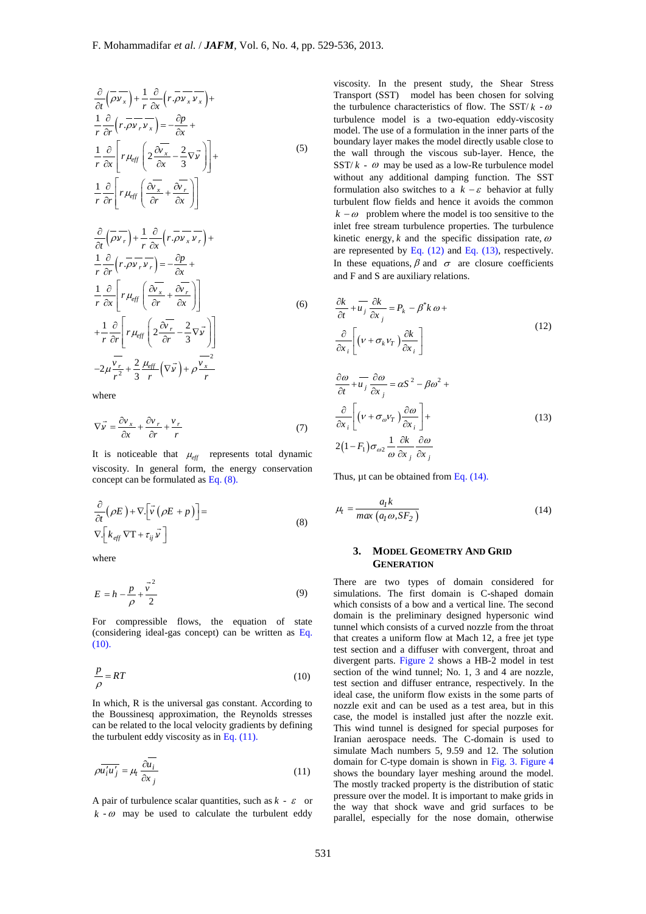$$
\frac{\partial}{\partial t} \left( \overline{\rho v_x} \right) + \frac{1}{r} \frac{\partial}{\partial x} \left( r \cdot \overline{\rho v_x} \overline{v_x} \right) + \n\frac{1}{r} \frac{\partial}{\partial r} \left( r \cdot \overline{\rho v_r} \overline{v_x} \right) = -\frac{\partial p}{\partial x} + \n\frac{1}{r} \frac{\partial}{\partial x} \left[ r \mu_{eff} \left( 2 \frac{\partial \overline{v_x}}{\partial x} - \frac{2}{3} \nabla \overline{v} \right) \right] + \n\frac{1}{r} \frac{\partial}{\partial r} \left[ r \mu_{eff} \left( \frac{\partial \overline{v_x}}{\partial r} + \frac{\partial \overline{v_r}}{\partial x} \right) \right] \n\frac{\partial}{\partial t} \left( \overline{\rho v_r} \right) + \frac{1}{r} \frac{\partial}{\partial x} \left( r \cdot \overline{\rho v_x} \overline{v_r} \right) + \n1 \frac{\partial}{\partial t} \left( r \cdot \overline{\rho v_x} \overline{v_r} \right) = 0
$$
\n(5)

$$
\frac{1}{r}\frac{\partial}{\partial r}\left(r.\overline{\rho v_r v_r}\right) = -\frac{\partial p}{\partial x} + \frac{1}{r}\frac{\partial}{\partial x}\left[r\mu_{eff}\left(\frac{\partial v_x}{\partial r} + \frac{\partial v_r}{\partial x}\right)\right]
$$
\n
$$
+\frac{1}{r}\frac{\partial}{\partial r}\left[r\mu_{eff}\left(2\frac{\partial v_r}{\partial r} - \frac{2}{3}\nabla\vec{v}\right)\right]
$$
\n
$$
-2\mu\frac{\nu_r}{r^2} + \frac{2}{3}\frac{\mu_{eff}}{r}\left(\nabla\vec{v}\right) + \rho\frac{\nu_x}{r}
$$
\n(6)

where

$$
\nabla \vec{v} = \frac{\partial v_x}{\partial x} + \frac{\partial v_r}{\partial r} + \frac{v_r}{r}
$$
(7)

It is noticeable that  $\mu_{\text{eff}}$  represents total dynamic viscosity. In general form, the energy conservation concept can be formulated as Eq. (8).

$$
\frac{\partial}{\partial t} (\rho E) + \nabla \left[ \vec{v} (\rho E + p) \right] =
$$
\n
$$
\nabla \left[ k_{eff} \nabla T + \tau_{ij} \vec{v} \right]
$$
\n(8)

where

$$
E = h - \frac{p}{\rho} + \frac{\vec{v}^2}{2}
$$
 (9)

For compressible flows, the equation of state (considering ideal-gas concept) can be written as Eq.  $(10)$ .

$$
\frac{p}{\rho} = RT \tag{10}
$$

In which, R is the universal gas constant. According to the Boussinesq approximation, the Reynolds stresses can be related to the local velocity gradients by defining the turbulent eddy viscosity as in Eq. (11).

$$
\rho \overline{u_i' u_j'} = \mu_t \frac{\partial \overline{u_i}}{\partial x_j} \tag{11}
$$

A pair of turbulence scalar quantities, such as  $k - \varepsilon$  or  $k - \omega$  may be used to calculate the turbulent eddy

viscosity. In the present study, the Shear Stress Transport (SST) model has been chosen for solving the turbulence characteristics of flow. The SST/ $k - \omega$ turbulence model is a two-equation eddy-viscosity model. The use of a formulation in the inner parts of the boundary layer makes the model directly usable close to the wall through the viscous sub-layer. Hence, the  $SST/k - \omega$  may be used as a low-Re turbulence model without any additional damping function. The SST formulation also switches to a  $k - \varepsilon$  behavior at fully turbulent flow fields and hence it avoids the common  $k - \omega$  problem where the model is too sensitive to the inlet free stream turbulence properties. The turbulence kinetic energy,  $k$  and the specific dissipation rate,  $\omega$ are represented by Eq. (12) and Eq. (13), respectively. In these equations,  $\beta$  and  $\sigma$  are closure coefficients and F and S are auxiliary relations.

$$
\frac{\partial k}{\partial t} + \overline{u_j} \frac{\partial k}{\partial x_j} = P_k - \beta^* k \omega + \frac{\partial}{\partial x_i} \left[ \left( v + \sigma_k v_T \right) \frac{\partial k}{\partial x_i} \right]
$$
\n(12)

$$
\frac{\partial \omega}{\partial t} + \overline{u_j} \frac{\partial \omega}{\partial x_j} = \alpha S^2 - \beta \omega^2 +
$$
  

$$
\frac{\partial}{\partial x_i} \left[ \left( v + \sigma_{\omega} v_T \right) \frac{\partial \omega}{\partial x_i} \right] +
$$
  
2(1-F<sub>1</sub>) $\sigma_{\omega 2} \frac{1}{\omega} \frac{\partial k}{\partial x_j} \frac{\partial \omega}{\partial x_j}$  (13)

Thus, ut can be obtained from Eq.  $(14)$ .

$$
\mu_t = \frac{a_1 k}{\max (a_1 \omega, S F_2)}
$$
\n(14)

# **3. MODEL GEOMETRY AND GRID GENERATION**

There are two types of domain considered for simulations. The first domain is C-shaped domain which consists of a bow and a vertical line. The second domain is the preliminary designed hypersonic wind tunnel which consists of a curved nozzle from the throat that creates a uniform flow at Mach 12, a free jet type test section and a diffuser with convergent, throat and divergent parts. Figure 2 shows a HB-2 model in test section of the wind tunnel; No. 1, 3 and 4 are nozzle, test section and diffuser entrance, respectively. In the ideal case, the uniform flow exists in the some parts of nozzle exit and can be used as a test area, but in this case, the model is installed just after the nozzle exit. This wind tunnel is designed for special purposes for Iranian aerospace needs. The C-domain is used to simulate Mach numbers 5, 9.59 and 12. The solution domain for C-type domain is shown in Fig. 3. Figure 4 shows the boundary layer meshing around the model. The mostly tracked property is the distribution of static pressure over the model. It is important to make grids in the way that shock wave and grid surfaces to be parallel, especially for the nose domain, otherwise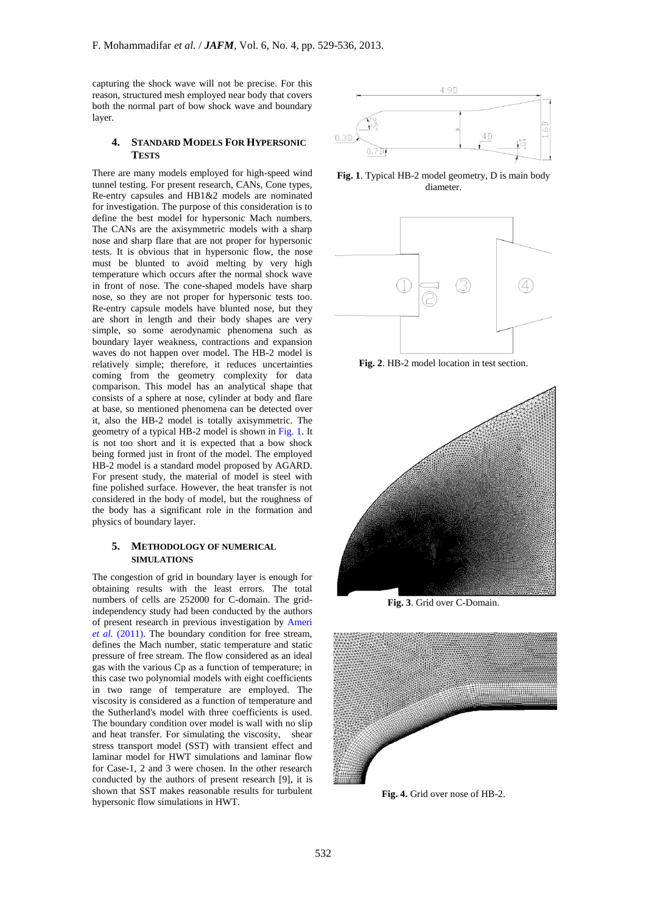capturing the shock wave will not be precise. For this reason, structured mesh employed near body that covers both the normal part of bow shock wave and boundary layer.

### **4. STANDARD MODELS FOR HYPERSONIC TESTS**

There are many models employed for high-speed wind tunnel testing. For present research, CANs, Cone types, Re-entry capsules and HB1&2 models are nominated for investigation. The purpose of this consideration is to define the best model for hypersonic Mach numbers. The CANs are the axisymmetric models with a sharp nose and sharp flare that are not proper for hypersonic tests. It is obvious that in hypersonic flow, the nose must be blunted to avoid melting by very high temperature which occurs after the normal shock wave in front of nose. The cone-shaped models have sharp nose, so they are not proper for hypersonic tests too. Re-entry capsule models have blunted nose, but they are short in length and their body shapes are very simple, so some aerodynamic phenomena such as boundary layer weakness, contractions and expansion waves do not happen over model. The HB-2 model is relatively simple; therefore, it reduces uncertainties coming from the geometry complexity for data comparison. This model has an analytical shape that consists of a sphere at nose, cylinder at body and flare at base, so mentioned phenomena can be detected over it, also the HB-2 model is totally axisymmetric. The geometry of a typical HB-2 model is shown in Fig. 1. It is not too short and it is expected that a bow shock being formed just in front of the model. The employed HB-2 model is a standard model proposed by AGARD. For present study, the material of model is steel with fine polished surface. However, the heat transfer is not considered in the body of model, but the roughness of the body has a significant role in the formation and physics of boundary layer.

# **5. METHODOLOGY OF NUMERICAL SIMULATIONS**

The congestion of grid in boundary layer is enough for obtaining results with the least errors. The total numbers of cells are 252000 for C-domain. The gridindependency study had been conducted by the authors of present research in previous investigation by Ameri *et al.* (2011). The boundary condition for free stream, defines the Mach number, static temperature and static pressure of free stream. The flow considered as an ideal gas with the various Cp as a function of temperature; in this case two polynomial models with eight coefficients in two range of temperature are employed. The viscosity is considered as a function of temperature and the Sutherland's model with three coefficients is used. The boundary condition over model is wall with no slip and heat transfer. For simulating the viscosity, shear stress transport model (SST) with transient effect and laminar model for HWT simulations and laminar flow for Case-1, 2 and 3 were chosen. In the other research conducted by the authors of present research [9], it is shown that SST makes reasonable results for turbulent hypersonic flow simulations in HWT.



**Fig. 1**. Typical HB-2 model geometry, D is main body diameter.



**Fig. 2**. HB-2 model location in test section.



**Fig. 3**. Grid over C-Domain.



**Fig. 4.** Grid over nose of HB-2.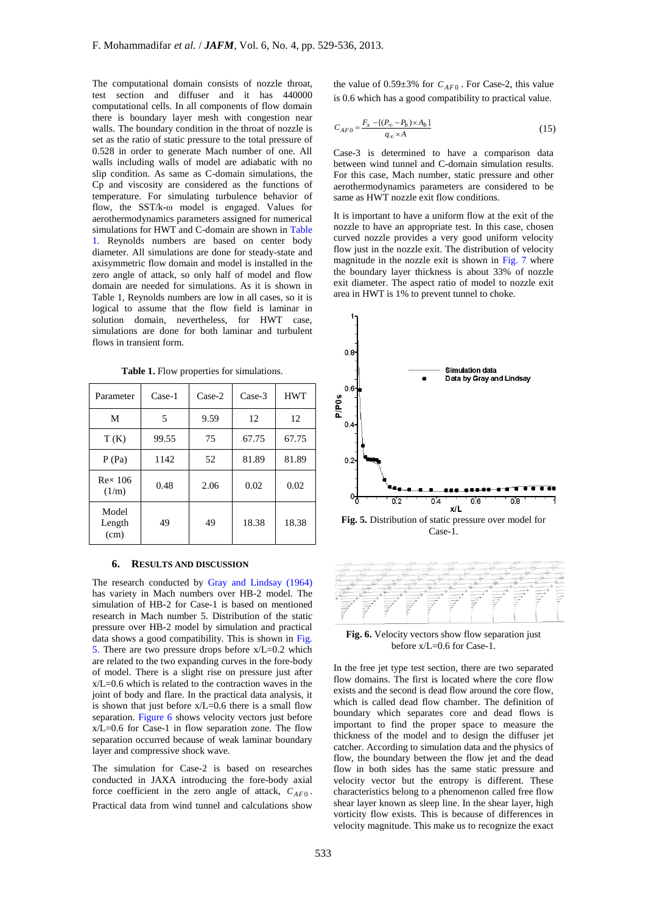The computational domain consists of nozzle throat, test section and diffuser and it has 440000 computational cells. In all components of flow domain there is boundary layer mesh with congestion near walls. The boundary condition in the throat of nozzle is set as the ratio of static pressure to the total pressure of 0.528 in order to generate Mach number of one. All walls including walls of model are adiabatic with no slip condition. As same as C-domain simulations, the Cp and viscosity are considered as the functions of temperature. For simulating turbulence behavior of flow, the SST/k-ω model is engaged. Values for aerothermodynamics parameters assigned for numerical simulations for HWT and C-domain are shown in Table 1. Reynolds numbers are based on center body diameter. All simulations are done for steady-state and axisymmetric flow domain and model is installed in the zero angle of attack, so only half of model and flow domain are needed for simulations. As it is shown in Table 1, Reynolds numbers are low in all cases, so it is logical to assume that the flow field is laminar in solution domain, nevertheless, for HWT case, simulations are done for both laminar and turbulent flows in transient form.

| Parameter               | Case-1 | $Case-2$ | $Case-3$ | <b>HWT</b> |
|-------------------------|--------|----------|----------|------------|
| M                       | 5      | 9.59     | 12       | 12         |
| T(K)                    | 99.55  | 75       | 67.75    | 67.75      |
| P(Pa)                   | 1142   | 52       | 81.89    | 81.89      |
| $Re\times 106$<br>(1/m) | 0.48   | 2.06     | 0.02     | 0.02       |
| Model<br>Length<br>(cm) | 49     | 49       | 18.38    | 18.38      |

**Table 1.** Flow properties for simulations.

# **6. RESULTS AND DISCUSSION**

The research conducted by Gray and Lindsay (1964) has variety in Mach numbers over HB-2 model. The simulation of HB-2 for Case-1 is based on mentioned research in Mach number 5. Distribution of the static pressure over HB-2 model by simulation and practical data shows a good compatibility. This is shown in Fig. 5. There are two pressure drops before  $x/L=0.2$  which are related to the two expanding curves in the fore-body of model. There is a slight rise on pressure just after  $x/L=0.6$  which is related to the contraction waves in the joint of body and flare. In the practical data analysis, it is shown that just before  $x/L=0.6$  there is a small flow separation. Figure 6 shows velocity vectors just before  $x/L=0.6$  for Case-1 in flow separation zone. The flow separation occurred because of weak laminar boundary layer and compressive shock wave.

The simulation for Case-2 is based on researches conducted in JAXA introducing the fore-body axial force coefficient in the zero angle of attack,  $C_{AF0}$ . Practical data from wind tunnel and calculations show

the value of  $0.59 \pm 3\%$  for  $C_{AF0}$ . For Case-2, this value is 0.6 which has a good compatibility to practical value.

$$
C_{AF0} = \frac{F_x - [(P_\infty - P_b) \times A_b]}{q_\infty \times A}
$$
 (15)

Case-3 is determined to have a comparison data between wind tunnel and C-domain simulation results. For this case, Mach number, static pressure and other aerothermodynamics parameters are considered to be same as HWT nozzle exit flow conditions.

It is important to have a uniform flow at the exit of the nozzle to have an appropriate test. In this case, chosen curved nozzle provides a very good uniform velocity flow just in the nozzle exit. The distribution of velocity magnitude in the nozzle exit is shown in Fig. 7 where the boundary layer thickness is about 33% of nozzle exit diameter. The aspect ratio of model to nozzle exit area in HWT is 1% to prevent tunnel to choke.





**Fig. 6.** Velocity vectors show flow separation just before x/L=0.6 for Case-1.

In the free jet type test section, there are two separated flow domains. The first is located where the core flow exists and the second is dead flow around the core flow, which is called dead flow chamber. The definition of boundary which separates core and dead flows is important to find the proper space to measure the thickness of the model and to design the diffuser jet catcher. According to simulation data and the physics of flow, the boundary between the flow jet and the dead flow in both sides has the same static pressure and velocity vector but the entropy is different. These characteristics belong to a phenomenon called free flow shear layer known as sleep line. In the shear layer, high vorticity flow exists. This is because of differences in velocity magnitude. This make us to recognize the exact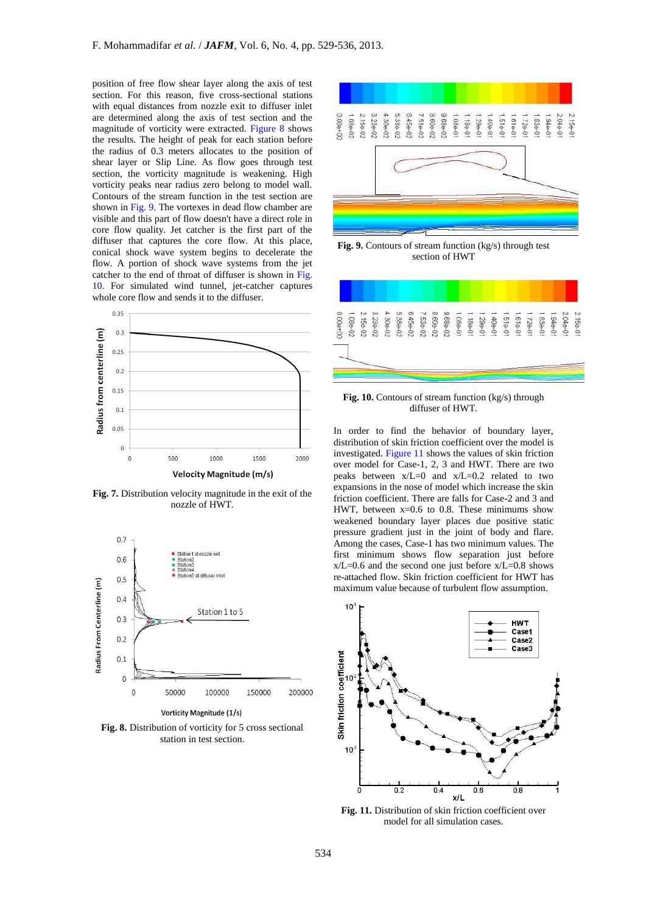position of free flow shear layer along the axis of test section. For this reason, five cross-sectional stations with equal distances from nozzle exit to diffuser inlet are determined along the axis of test section and the magnitude of vorticity were extracted. Figure 8 shows the results. The height of peak for each station before the radius of 0.3 meters allocates to the position of shear layer or Slip Line. As flow goes through test section, the vorticity magnitude is weakening. High vorticity peaks near radius zero belong to model wall. Contours of the stream function in the test section are shown in Fig. 9. The vortexes in dead flow chamber are visible and this part of flow doesn't have a direct role in core flow quality. Jet catcher is the first part of the diffuser that captures the core flow. At this place, conical shock wave system begins to decelerate the flow. A portion of shock wave systems from the jet catcher to the end of throat of diffuser is shown in Fig. 10. For simulated wind tunnel, jet-catcher captures whole core flow and sends it to the diffuser.



**Fig. 7.** Distribution velocity magnitude in the exit of the nozzle of HWT.



Vorticity Magnitude (1/s)

**Fig. 8.** Distribution of vorticity for 5 cross sectional station in test section.



**Fig. 9.** Contours of stream function (kg/s) through test section of HWT



**Fig. 10.** Contours of stream function (kg/s) through diffuser of HWT.

In order to find the behavior of boundary layer, distribution of skin friction coefficient over the model is investigated. Figure 11 shows the values of skin friction over model for Case-1, 2, 3 and HWT. There are two peaks between x/L=0 and x/L=0.2 related to two expansions in the nose of model which increase the skin friction coefficient. There are falls for Case-2 and 3 and HWT, between  $x=0.6$  to 0.8. These minimums show weakened boundary layer places due positive static pressure gradient just in the joint of body and flare. Among the cases, Case-1 has two minimum values. The first minimum shows flow separation just before  $x/L=0.6$  and the second one just before  $x/L=0.8$  shows re-attached flow. Skin friction coefficient for HWT has maximum value because of turbulent flow assumption.



**Fig. 11.** Distribution of skin friction coefficient over model for all simulation cases.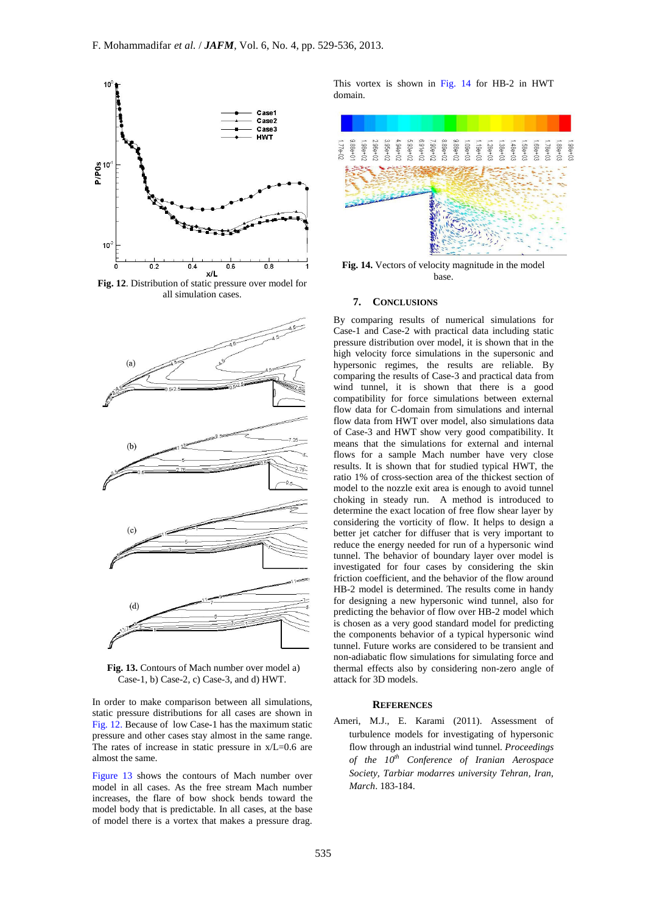

**Fig. 12**. Distribution of static pressure over model for all simulation cases.



**Fig. 13.** Contours of Mach number over model a) Case-1, b) Case-2, c) Case-3, and d) HWT.

In order to make comparison between all simulations, static pressure distributions for all cases are shown in Fig. 12. Because of low Case-1 has the maximum static pressure and other cases stay almost in the same range. The rates of increase in static pressure in  $x/L=0.6$  are almost the same.

Figure 13 shows the contours of Mach number over model in all cases. As the free stream Mach number increases, the flare of bow shock bends toward the model body that is predictable. In all cases, at the base of model there is a vortex that makes a pressure drag.

This vortex is shown in Fig. 14 for HB-2 in HWT domain.



**Fig. 14.** Vectors of velocity magnitude in the model base.

# **7. CONCLUSIONS**

By comparing results of numerical simulations for Case-1 and Case-2 with practical data including static pressure distribution over model, it is shown that in the high velocity force simulations in the supersonic and hypersonic regimes, the results are reliable. By comparing the results of Case-3 and practical data from wind tunnel, it is shown that there is a good compatibility for force simulations between external flow data for C-domain from simulations and internal flow data from HWT over model, also simulations data of Case-3 and HWT show very good compatibility. It means that the simulations for external and internal flows for a sample Mach number have very close results. It is shown that for studied typical HWT, the ratio 1% of cross-section area of the thickest section of model to the nozzle exit area is enough to avoid tunnel choking in steady run. A method is introduced to determine the exact location of free flow shear layer by considering the vorticity of flow. It helps to design a better jet catcher for diffuser that is very important to reduce the energy needed for run of a hypersonic wind tunnel. The behavior of boundary layer over model is investigated for four cases by considering the skin friction coefficient, and the behavior of the flow around HB-2 model is determined. The results come in handy for designing a new hypersonic wind tunnel, also for predicting the behavior of flow over HB-2 model which is chosen as a very good standard model for predicting the components behavior of a typical hypersonic wind tunnel. Future works are considered to be transient and non-adiabatic flow simulations for simulating force and thermal effects also by considering non-zero angle of attack for 3D models.

#### **REFERENCES**

Ameri, M.J., E. Karami (2011). Assessment of turbulence models for investigating of hypersonic flow through an industrial wind tunnel. *Proceedings of the 10th Conference of Iranian Aerospace Society, Tarbiar modarres university Tehran, Iran, March*. 183-184.